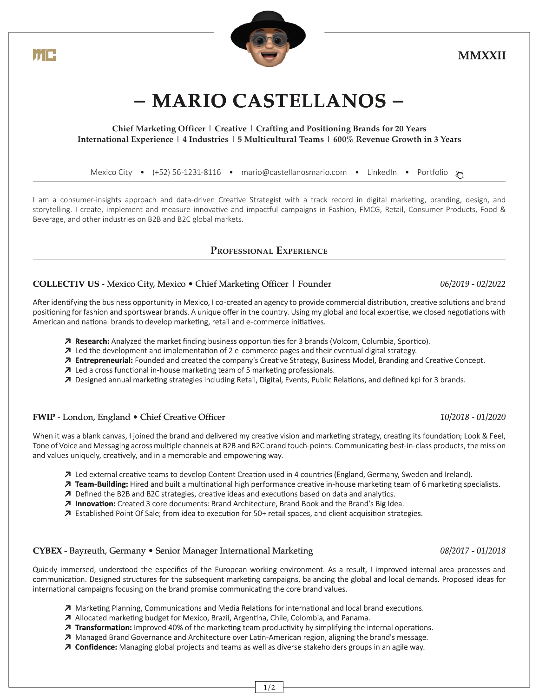i í F



# **MMXXII**

# **− MARIO CASTELLANOS −**

#### **Chief Marketing Officer | Creative | Crafting and Positioning Brands for 20 Years International Experience | 4 Industries | 5 Multicultural Teams | 600% Revenue Growth in 3 Years**

#### [Mexico City •](https://goo.gl/maps/7xLcTyz6k5L8kHTd6) [\(+52\) 56-1231-8116 •](https://t.me/mariocastellan0s) [mario@castellanosmario.com •](mailto:mario@castellanosmario.com) [LinkedIn •](https://www.linkedin.com/in/-mariocastellanos/) [Portfolio](https://www.castellanosmario.com)  $\mathbb{Z}$

I am a consumer-insights approach and data-driven Creative Strategist with a track record in digital marketing, branding, design, and storytelling. I create, implement and measure innovative and impactful campaigns in Fashion, FMCG, Retail, Consumer Products, Food & Beverage, and other industries on B2B and B2C global markets.

#### **PROFESSIONAL EXPERIENCE**

### **COLLECTIV US** - Mexico City, Mexico • Chief Marketing Officer | Founder *06/2019 - 02/2022*

After identifying the business opportunity in Mexico, I co-created an agency to provide commercial distribution, creative solutions and brand positioning for fashion and sportswear brands. A unique offer in the country. Using my global and local expertise, we closed negotiations with American and national brands to develop marketing, retail and e-commerce initiatives.

- **↗ Research:** Analyzed the market finding business opportunities for 3 brands (Volcom, Columbia, Sportico).
- **↗** Led the development and implementation of 2 e-commerce pages and their eventual digital strategy.
- **↗ Entrepreneurial:** Founded and created the company's Creative Strategy, Business Model, Branding and Creative Concept.
- **↗** Led a cross functional in-house marketing team of 5 marketing professionals.
- **↗** Designed annual marketing strategies including Retail, Digital, Events, Public Relations, and defined kpi for 3 brands.

### **FWIP** - London, England • Chief Creative Officer **10/2018** - 01/2020

When it was a blank canvas, I joined the brand and delivered my creative vision and marketing strategy, creating its foundation; Look & Feel, Tone of Voice and Messaging across multiple channels at B2B and B2C brand touch-points. Communicating best-in-class products, the mission and values uniquely, creatively, and in a memorable and empowering way.

- **↗** Led external creative teams to develop Content Creation used in 4 countries (England, Germany, Sweden and Ireland).
- **↗ Team-Building:** Hired and built a multinational high performance creative in-house marketing team of 6 marketing specialists.
- **↗** Defined the B2B and B2C strategies, creative ideas and executions based on data and analytics.
- **↗ Innovation:** Created 3 core documents: Brand Architecture, Brand Book and the Brand's Big Idea.
- **↗** Established Point Of Sale; from idea to execution for 50+ retail spaces, and client acquisition strategies.

#### **CYBEX** - Bayreuth, Germany • Senior Manager International Marketing *08/2017 - 01/2018*

Quickly immersed, understood the especifics of the European working environment. As a result, I improved internal area processes and communication. Designed structures for the subsequent marketing campaigns, balancing the global and local demands. Proposed ideas for international campaigns focusing on the brand promise communicating the core brand values.

- **↗** Marketing Planning, Communications and Media Relations for international and local brand executions.
- **↗** Allocated marketing budget for Mexico, Brazil, Argentina, Chile, Colombia, and Panama.
- **↗ Transformation:** Improved 40% of the marketing team productivity by simplifying the internal operations.
- **↗** Managed Brand Governance and Architecture over Latin-American region, aligning the brand's message.
- **↗ Confidence:** Managing global projects and teams as well as diverse stakeholders groups in an agile way.
	- $1/2$